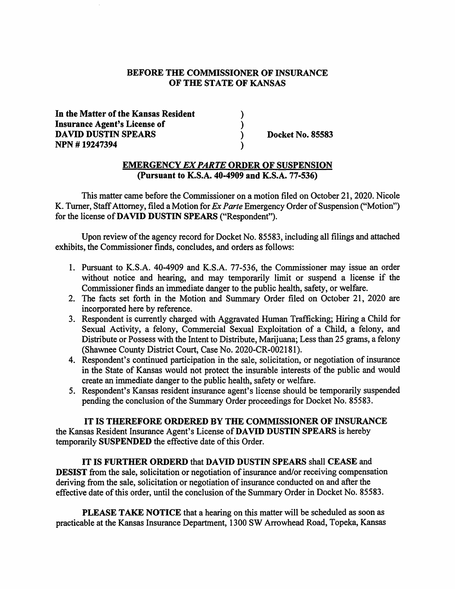#### **BEFORE THE COMMISSIONER OF INSURANCE OF THE STATE OF KANSAS**

) ) ) )

**In the Matter of the Kansas Resident Insurance Agent's License of DAVID DUSTIN SPEARS NPN** # **19247394** 

**Docket No. 85583** 

#### **EMERGENCY** *EX PARTE* **ORDER OF SUSPENSION (Pursuant to K.S.A. 40-4909 and K.S.A. 77-536)**

This matter came before the Commissioner on a motion filed on October 21, 2020. Nicole K. Turner, Staff Attorney, filed a Motion for *Ex Parte* Emergency Order of Suspension ("Motion") for the license of **DAVID DUSTIN SPEARS** ("Respondent").

Upon review of the agency record for Docket No. 85583, including all filings and attached exhibits, the Commissioner finds, concludes, and orders as follows:

- 1. Pursuant to K.S.A. 40-4909 and K.S.A. 77-536, the Commissioner may issue an order without notice and hearing, and may temporarily limit or suspend a license if the Commissioner finds an immediate danger to the public health, safety, or welfare.
- 2. The facts set forth in the Motion and Summary Order filed on October 21, 2020 are incorporated here by reference.
- 3. Respondent is currently charged with Aggravated Human Trafficking; Hiring a Child for Sexual Activity, a felony, Commercial Sexual Exploitation of a Child, a felony, and Distribute or Possess with the Intent to Distribute, Marijuana; Less than 25 grams, a felony (Shawnee County District Court, Case No. 2020-CR-002181).
- 4. Respondent's continued participation in the sale, solicitation, or negotiation of insurance in the State of Kansas would not protect the insurable interests of the public and would create an immediate danger to the public health, safety or welfare.
- 5. Respondent's Kansas resident insurance agent's license should be temporarily suspended pending the conclusion of the Summary Order proceedings for Docket No. 85583.

### **IT IS THEREFORE ORDERED BY THE COMMISSIONER OF INSURANCE**

the Kansas Resident Insurance Agent's License of **DAVID DUSTIN SPEARS** is hereby temporarily **SUSPENDED** the effective date of this Order.

**IT IS FURTHER ORDERD** that **DAVID DUSTIN SPEARS** shall **CEASE** and **DESIST** from the sale, solicitation or negotiation of insurance and/or receiving compensation deriving from the sale, solicitation or negotiation of insurance conducted on and after the effective date of this order, until the conclusion of the Summary Order in Docket No. 85583.

**PLEASE TAKE NOTICE** that a hearing on this matter will be scheduled as soon as practicable at the Kansas Insurance Department, 1300 SW Arrowhead Road, Topeka, Kansas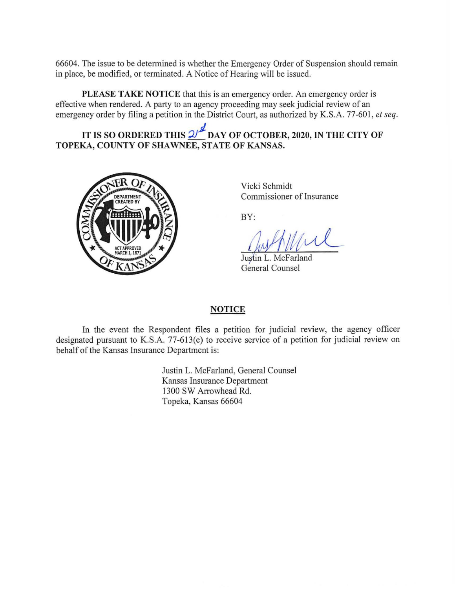66604. The issue to be determined is whether the Emergency Order of Suspension should remain in place, be modified, or terminated. A Notice of Hearing will be issued.

**PLEASE TAKE NOTICE** that this is an emergency order. An emergency order is effective when rendered. A party to an agency proceeding may seek judicial review of an emergency order by filing a petition in the District Court, as authorized by K.S.A. 77-601, *et seq.* 

IT IS SO ORDERED THIS  $2^{1/2}$  DAY OF OCTOBER, 2020, IN THE CITY OF **TOPEKA, COUNTY OF SHAWNEE, STATE OF KANSAS.** 



Vicki Schmidt Commissioner of Insurance

BY:

*Justin L. McFarland* General Counsel

### **NOTICE**

In the event the Respondent files a petition for judicial review, the agency officer designated pursuant to K.S.A. 77-613(e) to receive service of a petition for judicial review on behalf of the Kansas Insurance Department is:

> Justin L. McFarland, General Counsel Kansas Insurance Department 1300 SW Arrowhead Rd. Topeka, Kansas 66604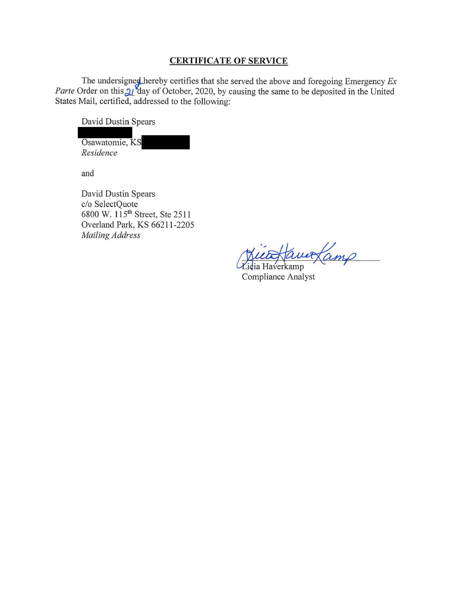#### **CERTIFICATE OF SERVICE**

The undersigned hereby certifies that she served the above and foregoing Emergency  $Ex$ *Parte* Order on this 21<sup>2</sup> day of October, 2020, by causing the same to be deposited in the United States Mail, certified, addressed to the following:

David Dustin Spears

Osawatomie, KS *Residence* 

and

David Dustin Spears c/o SelectQuote 6800 W. 115th Street, Ste 25 11 Overland Park, KS 66211-2205 *Mailing Address* 

Victo Hauer Lamp

Compliance Analyst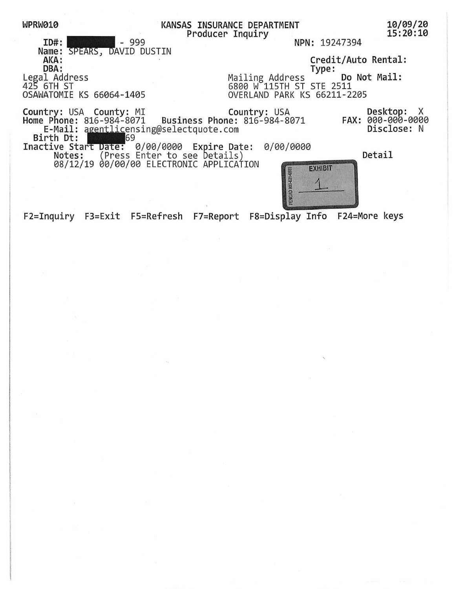| WPRW010                                     | KANSAS INSURANCE DEPARTMENT<br>Producer Inquiry | 10/09/20<br>15:20:10            |
|---------------------------------------------|-------------------------------------------------|---------------------------------|
| ID#:<br>$-999$                              | NPN: 19247394                                   |                                 |
| Name: SPEARS, DAVID DUSTIN                  |                                                 |                                 |
| AKA:                                        |                                                 | Credit/Auto Rental:             |
| DBA:                                        | Type:                                           |                                 |
| Legal Address                               | Mailing Address                                 | Do Not Mail:                    |
| 425 6TH ST                                  | 6800 W 115TH ST STE 2511                        |                                 |
| OSAWATOMIE KS 66064-1405                    | OVERLAND PARK KS 66211-2205                     |                                 |
|                                             |                                                 | Desktop: X<br>FAX: 000-000-0000 |
| E-Mail: agentlicensing@selectquote.com      |                                                 | Disclose: N                     |
| Birth Dt:<br>169                            |                                                 |                                 |
| Inactive Start Date: 0/00/0000 Expire Date: | 0/00/0000                                       |                                 |
| Notes: (Press Enter to see Details)         |                                                 | Detail                          |
| 08/12/19 00/00/00 ELECTRONIC APPLICATION    | <b>EXHIBIT</b><br>12                            |                                 |

PENGAD 801-631-6

F2=Inquiry F3=Exit FS=Refresh F7=Report FS=Display Info F24=More keys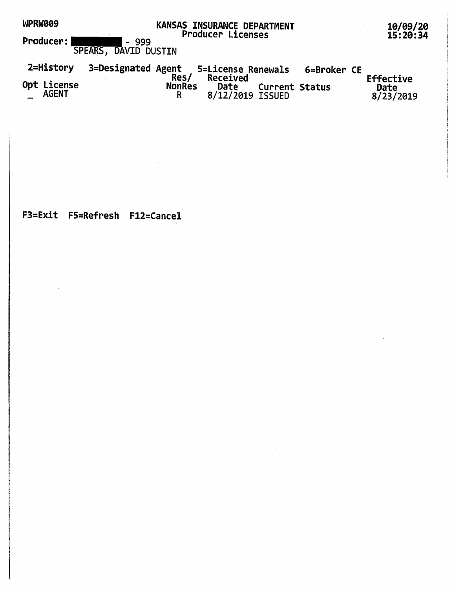| WPRW009<br>Producer: '      | KANSAS INSURANCE DEPARTMENT<br><b>Producer Licenses</b><br>-999<br>$\blacksquare$           | 10/09/20<br>15:20:34           |
|-----------------------------|---------------------------------------------------------------------------------------------|--------------------------------|
|                             | SPEARS, DAVID DUSTIN                                                                        |                                |
| 2=History                   | 3=Designated Agent<br>5=License Renewals<br>6=Broker CE                                     |                                |
| Opt License<br><b>AGENT</b> | Res/<br>Received<br><b>NonRes</b><br>Date<br><b>Current Status</b><br>R<br>8/12/2019 ISSUED | Effective<br>Date<br>8/23/2019 |

 $\sim$   $\sim$ 

F3=Exit FS=Refresh F12=Cancel

 $\mathcal{L}^{\text{max}}_{\text{max}}$  and  $\mathcal{L}^{\text{max}}_{\text{max}}$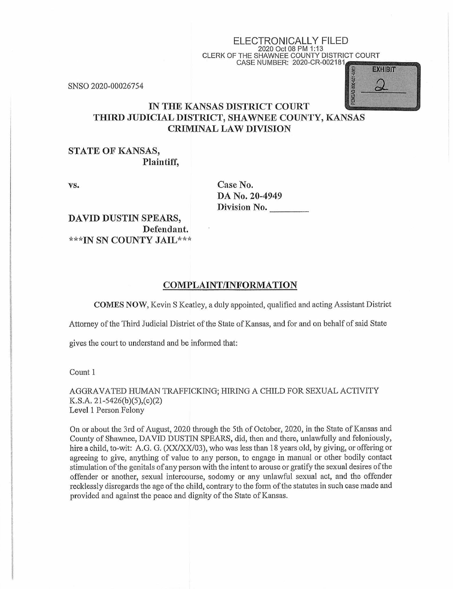# ELECTRONICALLY FILED 2020 Oct 08 PM 1:13 CLERK OF THE SHAWNEE COUNTY DISTRICT COURT<br>
CASE NUMBER: 2020-CR-002181<br>
a s = 2020<br>
a s = 2020

SNSO 2020-00026754



# IN **THE KANSAS DISTRICT COURT THIRD JUDICIAL DISTRICT, SHAWNEE COUNTY, KANSAS CRIMINAL LAW DIVISION**

#### **STATE OF KANSAS, Plaintiff,**

vs.

**Case No. DA No. 20-4949**  Division No.

DAVID DUSTIN SPEARS, Defendant. \*\*1 'IN SN COUNTY JAIL\*\*\*

#### **COMPLAINT/INFORMATION**

**COMES NOW,** Kevin S Keatley, a duly appointed, qualified and acting Assistant District

Attorney of the Third Judicial District of the State of Kansas, and for and on behalf of said State

gives the court to understand and be informed that:

Count 1

AGGRAVATED HUMAN TRAFFICKING; HIRING A CHILD FOR SEXUAL ACTIVITY K.S.A. 21-5426(b)(5),(c)(2) Level 1 Person Felony

On or about the 3rd of August, 2020 through the 5th of October, 2020, in the State of Kansas and County of Shawnee, DAVID DUSTIN SPEARS, did, then and there, unlawfully and feloniously, hire a child, to-wit: A.G. G. (XX/XX/03), who was less than 18 years old, by giving, or offering or agreeing to give, anything of value to any person, to engage in manual or other bodily contact stimulation of the genitals of any person with the intent to arouse or gratify the sexual desires of the offender or another, sexual intercourse, sodomy or any unlawful sexual act, and the offender recklessly disregards the age of the child, contrary to the form of the statutes in such case made and provided and against the peace and dignity of the State of Kansas.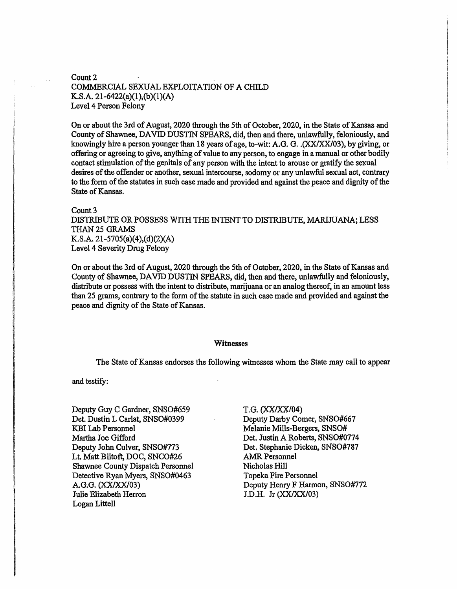#### Count<sub>2</sub> COMMERCIAL SEXUAL EXPLOITATION OF A CHILD K.S.A. 21-6422(a)(l),(b)(l)(A) Level 4 Person Felony

On or about the 3rd of August, 2020 through the 5th of October, 2020, in the State of Kansas and County of Shawnee, DAVID DUSTIN SPEARS, did, then and there, unlawfully, feloniously, and knowingly hire a person younger than 18 years of age, to-wit: A.G. G. .(XX/XX/03), by giving, or offering or agreeing to give, anything of value to any person, to engage in a manual or other bodily contact stimulation of the genitals of any person with the intent to arouse or gratify the sexual desires of the offender or another, sexual intercourse, sodomy or any unlawful sexual act, contrary to the form of the statutes in such case made and provided and against the peace and dignity of the State of Kansas.

## Count 3

DISTRIBUTE OR POSSESS WITH THE INTENT TO DISTRIBUTE, MARIJUANA; LESS THAN 25 GRAMS K.S.A. 21-5705(a)(4),(d)(2)(A) Level 4 Severity Drug Felony

On or about the 3rd of August, 2020 through the 5th of October, 2020, in the State of Kansas and County of Shawnee, DAVID DUSTIN SPEARS, did, then and there, unlawfully and feloniously, distribute or possess with the intent to distribute, marijuana or an analog thereof, in an amount less than 25 grams, contrary to the form of the statute in such case made and provided and against the peace and dignity of the State of Kansas.

#### **Witnesses**

The State of Kansas endorses the following witnesses whom the State may call to appear

and testify:

Deputy Guy C Gardner, SNSO#659 Det. Dustin L Carlat, SNSO#0399 KBI Lab Personnel Martha Joe Gifford Deputy John Culver, SNSO#773 Lt. Matt Biltoft, DOC, SNCO#26 Shawnee County Dispatch Personnel Detective Ryan Myers, SNSO#0463 A.G.G. (XX/XX/03) Julie Elizabeth Herron Logan Littell

T.G. (XX/XX/04) Deputy Darby Comer, SNSO#667 Melanie Mills-Bergers, SNSO# Det. Justin A Roberts, SNSO#0774 Det. Stephanie Dicken, SNSO#787 AMR Personnel Nicholas Hill Topeka Fire Personnel Deputy Henry F Harmon, SNSO#772 J.D.H. Jr (XXIXX/03)